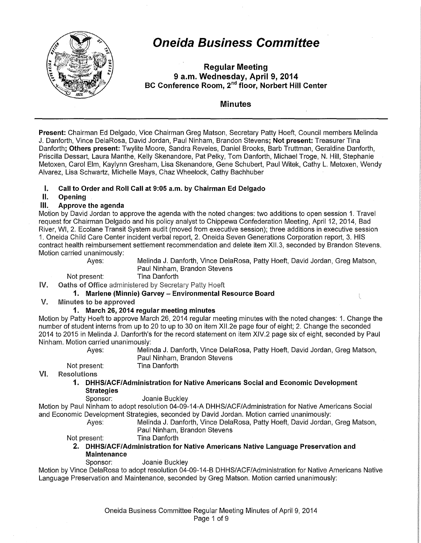

# **Oneida Business Committee**

**Regular Meeting 9 a.m. Wednesday, April 9, 2014 BC Conference Room,** 2"d **floor, Norbert Hill Center** 

#### **Minutes**

**Present:** Chairman Ed Delgado, Vice Chairman Greg Matson, Secretary Patty Hoeft, Council members Melinda J. Danforth, Vince DelaRosa, David Jordan, Paul Ninham, Brandon Stevens; **Not present:** Treasurer Tina Danforth; **Others present:** Twylite Moore, Sandra Reveles, Daniel Brooks, Barb Truttman, Geraldine Danforth, Priscilla Dessart, Laura Manthe, Kelly Skenandore, Pat Pelky, Tom Danforth, Michael Troge, N. Hill, Stephanie Metoxen, Carol Elm, Kaylynn Gresham, Lisa Skenandore, Gene Schubert, Paul Witek, Cathy L. Metoxen, Wendy Alvarez, Lisa Schwartz, Michelle Mays, Chaz Wheelock, Cathy Bachhuber

#### **I. Call to Order and Roll Call at 9:05 a.m. by Chairman Ed Delgado**

#### **II. Opening**

#### **Ill. Approve the agenda**

Motion by David Jordan to approve the agenda with the noted changes: two additions to open session 1. Travel request for Chairman Delgado and his policy analyst to Chippewa Confederation Meeting, April 12, 2014, Bad River, WI, 2. Ecolane Transit System audit (moved from executive session); three additions in executive session 1. Oneida Child Care Center incident verbal report, 2. Oneida Seven Generations Corporation report, 3. HIS contract health reimbursement settlement recommendation and delete item Xll.3, seconded by Brandon Stevens. Motion carried unanimously:

Ayes: Melinda J. Danforth, Vince DelaRosa, Patty Hoeft, David Jordan, Greg Matson, Paul Ninham, Brandon Stevens

l

Not present: Tina Danforth

IV. Oaths of Office administered by Secretary Patty Hoeft

#### **1. Marlene (Minnie) Garvey- Environmental Resource Board**

#### $V_{\cdot}$ Minutes to be approved

#### **1. March 26, 2014 regular meeting minutes**

Motion by Patty Hoeft to approve March 26, 2014 regular meeting minutes with the noted changes: 1. Change the number of student interns from up to 20 to up to 30 on item Xll.2e page four of eight; 2. Change the seconded 2014 to 2015 in Melinda J. Danforth's for the record statement on item XIV.2 page six of eight, seconded by Paul Ninham. Motion carried unanimously:

Ayes: Melinda J. Danforth, Vince DelaRosa, Patty Hoeft, David Jordan, Greg Matson, Paul Ninham, Brandon Stevens

Not present: Tina Danforth

VI. Resolutions

**1. DHHS/ACF/Administration for Native Americans Social and Economic Development Strategies** 

Sponsor: Joanie Buckley

Motion by Paul Ninham to adopt resolution 04-09-14-A DHHS/ACF/Administration for Native Americans Social and Economic Development Strategies, seconded by David Jordan. Motion carried unanimously:

Ayes: Melinda J. Danforth, Vince DelaRosa, Patty Hoeft, David Jordan, Greg Matson, Paul Ninham, Brandon Stevens

Not present: Tina Danforth

**2. DHHS/ACF/Administration for Native Americans Native Language Preservation and Maintenance** 

Sponsor: Joanie Buckley

Motion by Vince DelaRosa to adopt resolution 04-09-14-B DHHS/ACF/Administration for Native Americans Native Language Preservation and Maintenance, seconded by Greg Matson. Motion carried unanimously: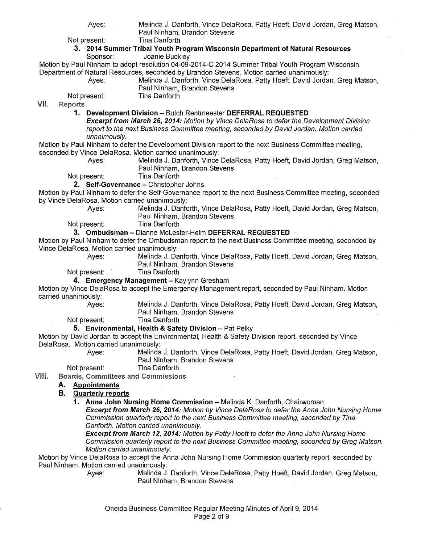Ayes: Melinda J. Danforth, Vince DelaRosa, Patty Hoeft, David Jordan, Greg Matson, Paul Ninham, Brandon Stevens

Not present: Tina Danforth

#### **3. 2014 Summer Tribal Youth Program Wisconsin Department of Natural Resources**  Joanie Buckley

Motion by Paul Ninham to adopt resolution 04-09-2014-C 2014 Summer Tribal Youth Program Wisconsin Department of Natural Resources, seconded by Brandon Stevens. Motion carried unanimously:

Ayes: Melinda J. Danforth, Vince DelaRosa, Patty Hoeft, David Jordan, Greg Matson, Paul Ninham, Brandon Stevens Not present: Tina Danforth

VII. **Reports** 

**1. Development Division** - Butch Rentmeester **DEFERRAL REQUESTED** 

**Excerpt from March 26, 2014:** Motion by Vince DelaRosa to defer the Development Division report to the next Business Committee meeting, seconded by David Jordan. Motion carried unanimously.

Motion by Paul Ninham to defer the Development Division report to the next Business Committee meeting, seconded by Vince DelaRosa. Motion carried unanimously:

Ayes: Melinda J. Danforth, Vince DelaRosa, Patty Hoeft, David Jordan, Greg Matson, Paul Ninham, Brandon Stevens

Not present: Tina Danforth

#### **2. Self-Governance - Christopher Johns**

Motion by Paul Ninham to defer the Self-Governance report to the next Business Committee meeting, seconded by Vince DelaRosa. Motion carried unanimously:

Ayes: Melinda J. Danforth, Vince DelaRosa, Patty Hoeft, David Jordan, Greg Matson, Paul Ninham, Brandon Stevens

Not present: Tina Danforth

#### **3. Ombudsman** - Dianne Mclester-Heim **DEFERRAL REQUESTED**

Motion by Paul Ninham to defer the Ombudsman report to the next Business Committee meeting, seconded by Vince DelaRosa. Motion carried unanimously:

Melinda J. Danforth, Vince DelaRosa, Patty Hoeft, David Jordan, Greg Matson,

Paul Ninham, Brandon Stevens

Not present:

#### **4. Emergency Management-** Kaylynn Gresham

Motion by Vince DelaRosa to accept the Emergency Management report, seconded by Paul Ninham. Motion carried unanimously:

Ayes: Melinda J. Danforth, Vince DelaRosa, Patty Hoeft, David Jordan, Greg Matson, Paul Ninham, Brandon Stevens

Not present: Tina Danforth

#### **5. Environmental, Health & Safety Division - Pat Pelky**

Motion by David Jordan to accept the Environmental, Health & Safety Division report, seconded by Vince DelaRosa. Motion carried unanimously:

Ayes: Melinda J. Danforth, Vince DelaRosa, Patty Hoeft, David Jordan, Greg Matson, Paul Ninham, Brandon Stevens

Not present: Tina Danforth

VIII. **Boards, Committees and Commissions** 

#### **A. Appointments**

#### **B. Quarterly reports**

**1. Anna John Nursing Home Commission - Melinda K. Danforth, Chairwoman** 

**Excerpt from March 26, 2014:** Motion by Vince DelaRosa to defer the Anna John Nursing Home Commission quarterly report to the next Business Committee meeting, seconded by Tina Danforth. Motion carried unanimously.

**Excerpt from March 12, 2014:** Motion by Patty Hoeft to defer the Anna John Nursing Home Commission quarterly report to the next Business Committee meeting, seconded by Greg Matson. Motion carried unanimously.

Motion by Vince DelaRosa to accept the Anna John Nursing Home Commission quarterly report, seconded by Paul Ninham. Motion carried unanimously:

Ayes: Melinda J. Danforth, Vince DelaRosa, Patty Hoeft, David Jordan, Greg Matson, Paul Ninham, Brandon Stevens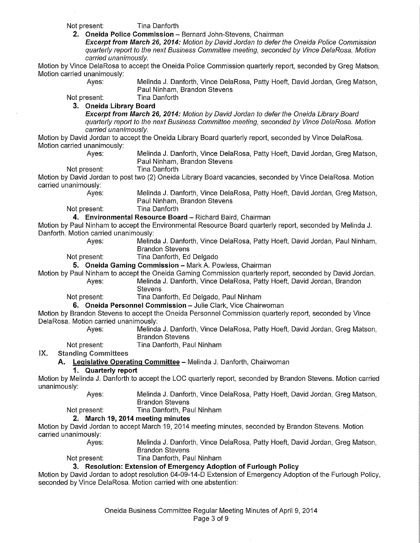Not present: Tina Danforth

2. Oneida Police Commission - Bernard John-Stevens, Chairman

**Excerpt from March 26, 2014:** Motion by David Jordan to defer the Oneida Police Commission quarterly report to the next Business Committee meeting, seconded by Vince DelaRosa. Motion carried unanimously.

Motion by Vince DelaRosa to accept the Oneida Police Commission quarterly report, seconded by Greg Matson. Motion carried unanimously:

Ayes: Melinda J. Danforth, Vince DelaRosa, Patty Hoeft, David Jordan, Greg Matson, Paul Ninham, Brandon Stevens

Not present: Tina Danforth

### **3. Oneida Library Board**

**Excerpt from March 26, 2014:** Motion by David Jordan to defer the Oneida Library Board quarterly report to the next Business Committee meeting, seconded by Vince DelaRosa. Motion carried unanimously.

Motion by David Jordan to accept the Oneida Library Board quarterly report, seconded by Vince DelaRosa. Motion carried unanimously:

Ayes: Melinda J. Danforth, Vince DelaRosa, Patty Hoeft, David Jordan, Greg Matson, Paul Ninham, Brandon Stevens

Not present: Tina Danforth

Motion by David Jordan to post two (2) Oneida Library Board vacancies, seconded by Vince DelaRosa. Motion carried unanimously:

Ayes: Melinda J. Danforth, Vince DelaRosa, Patty Hoeft, David Jordan, Greg Matson, Paul Ninham, Brandon Stevens

Not present: Tina Danforth

**4. Environmental Resource Board - Richard Baird, Chairman** 

Motion by Paul Ninham to accept the Environmental Resource Board quarterly report, seconded by Melinda J. Danforth. Motion carried unanimously:

Ayes: Melinda J. Danforth, Vince DelaRosa, Patty Hoeft, David Jordan, Paul Ninham, Brandon Stevens

Not present: Tina Danforth, Ed Delgado

**5. Oneida Gaming Commission - Mark A. Powless, Chairman** 

Motion by Paul Ninham to accept the Oneida Gaming Commission quarterly report, seconded by David Jordan. Ayes: Melinda J. Danforth, Vince DelaRosa, Patty Hoeft, David Jordan, Brandon

**Stevens** 

Not present: Tina Danforth, Ed Delgado, Paul Ninham

**6. Oneida Personnel Commission-** Julie Clark, Vice Chairwoman

Motion by Brandon Stevens to accept the Oneida Personnel Commission quarterly report, seconded by Vince DelaRosa. Motion carried unanimously:

Ayes: Melinda J. Danforth, Vince DelaRosa, Patty Hoeft, David Jordan, Greg Matson, Brandon Stevens

Not present: Tina Danforth, Paul Ninham

IX. Standing Committees

#### **A. Legislative Operating Committee-** Melinda J. Danforth, Chairwoman

#### **1. Quarterly report**

Motion by Melinda J. Danforth to accept the LOG quarterly report, seconded by Brandon Stevens. Motion carried unanimously:

> Ayes: Melinda J. Danforth, Vince DelaRosa, Patty Hoeft, David Jordan, Greg Matson, Brandon Stevens

Not present: Tina Danforth, Paul Ninham

#### **2. March 19, 2014 meeting minutes**

Motion by David Jordan to accept March 19, 2014 meeting minutes, seconded by Brandon Stevens. Motion carried unanimously:

Ayes: Melinda J. Danforth, Vince DelaRosa, Patty Hoeft, David Jordan, Greg Matson, Brandon Stevens

#### Not present: Tina Danforth, Paul Ninham

**3. Resolution: Extension of Emergency Adoption of Furlough Policy** 

Motion by David Jordan to adopt resolution 04-09-14-D Extension of Emergency Adoption of the Furlough Policy, seconded by Vince DelaRosa. Motion carried with one abstention: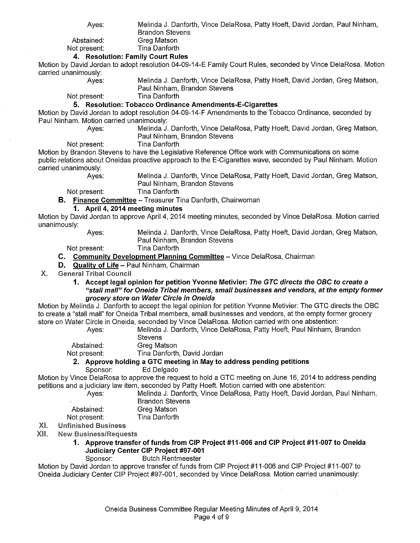Ayes: Melinda J. Danforth, Vince DelaRosa, Patty Hoeft, David Jordan, Paul Ninham,

Brandon Stevens

Abstained: Greg Matson Not present: Tina Danforth

#### **4. Resolution: Family Court Rules**

Motion by David Jordan to adopt resolution 04-09-14-E Family Court Rules, seconded by Vince DelaRosa. Motion carried unanimously:

Ayes: Melinda J. Danforth, Vince DelaRosa, Patty Hoeft, David Jordan, Greg Matson, Paul Ninham, Brandon Stevens

Not present: Tina Danforth

#### **5. Resolution: Tobacco Ordinance Amendments-E-Cigarettes**

Motion by David Jordan to adopt resolution 04-09-14-F Amendments to the Tobacco Ordinance, seconded by Paul Ninham. Motion carried unanimously:

Ayes: Melinda J. Danforth, Vince DelaRosa, Patty Hoeft, David Jordan, Greg Matson, Paul Ninham, Brandon Stevens

#### Not present: Tina Danforth

Motion by Brandon Stevens to have the Legislative Reference Office work with Communications on some public relations about Oneidas proactive approach to the E-Cigarettes wave, seconded by Paul Ninham. Motion carried unanimously:

Ayes: Melinda J. Danforth, Vince DelaRosa, Patty Hoeft, David Jordan, Greg Matson, Paul Ninham, Brandon Stevens

Not present: Tina Danforth

**B. Finance Committee-** Treasurer Tina Danforth, Chairwoman

#### **1. April 4, 2014 meeting minutes**

Motion by David Jordan to approve April 4, 2014 meeting minutes, seconded by Vince DelaRosa. Motion carried unanimously:

Ayes: Melinda J. Danforth, Vince DelaRosa, Patty Hoeft, David Jordan, Greg Matson, Paul Ninham, Brandon Stevens

Not present: Tina Danforth

#### **C. Community Development Planning Committee-** Vince DelaRosa, Chairman

**D. Quality of Life-** Paul Ninham, Chairman

#### General Tribal Council Х.

**1. Accept legal opinion for petition Yvonne Metivier: The GTC directs the OBC to create a "stall mall" for Oneida Tribal members, small businesses and vendors, at the empty former grocery store on Water Circle in Oneida** 

Motion by Melinda J. Danforth to accept the legal opinion for petition Yvonne Metivier: The GTC directs the OBC to create a "stall mall" for Oneida Tribal members, small businesses and vendors, at the empty former grocery store on Water Circle in Oneida, seconded by Vince DelaRosa. Motion carried with one abstention:

Ayes: Melinda J. Danforth, Vince DelaRosa, Patty Hoeft, Paul Ninham, Brandon **Stevens** 

Abstained: Greg Matson

Not present: Tina Danforth, David Jordan

#### **2. Approve holding a GTC meeting in May to address pending petitions**  Sponsor: Ed Delgado

Motion by Vince DelaRosa to approve the request to hold a GTC meeting on June 16, 2014 to address pending petitions and a judiciary law item, seconded by Patty Hoeft. Motion carried with one abstention:

· Ayes: Melinda J. Danforth, Vince DelaRosa, Patty Hoeft, David Jordan, Paul Ninham, Brandon Stevens

| Abstained:   | Greg Matson   |
|--------------|---------------|
| Not present: | Tina Danforth |

#### XI. Unfinished Business

- XII. **New Business/Requests** 
	- **1. Approve transfer of funds from CIP Project #11-006 and CIP Project #11-007 to Oneida Judiciary Center CIP Project #97-001**

Sponsor: Butch Rentmeester

Motion by David Jordan to approve transfer of funds from CIP Project #11-006 and CIP Project #11-007 to Oneida Judiciary Center CIP Project #97-001, seconded by Vince DelaRosa. Motion carried unanimously: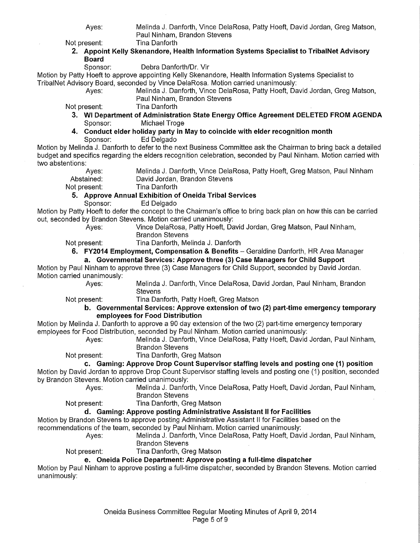Ayes: Melinda J. Danforth, Vince DelaRosa, Patty Hoeft, David Jordan, Greg Matson, Paul Ninham, Brandon Stevens

Not present: Tina Danforth

#### **2. Appoint Kelly Skenandore, Health Information Systems Specialist to TribaiNet Advisory Board**

Sponsor: Debra Danforth/Or. Vir

Motion by Patty Hoeft to approve appointing Kelly Skenandore, Health Information Systems Specialist to TribaiNet Advisory Board, seconded by Vince DelaRosa. Motion carried unanimously:

Ayes: Melinda J. Danforth, Vince DelaRosa, Patty Hoeft, David Jordan, Greg Matson, Paul Ninham, Brandon Stevens

Not present: Tina Danforth

- **3. WI Department of Administration State Energy Office Agreement DELETED FROM AGENDA**  Sponsor: Michael Troge
- **4. Conduct elder holiday party in May to coincide with elder recognition month**  Sponsor: Ed Delgado

Motion by Melinda J. Danforth to defer to the next Business Committee ask the Chairman to bring back a detailed budget and specifics regarding the elders recognition celebration, seconded by Paul Ninham. Motion carried with two abstentions:

| Aves:        | Melinda J. Danforth, Vince DelaRosa, Patty Hoeft, Greg Matson, Paul Ninham |
|--------------|----------------------------------------------------------------------------|
| Abstained:   | David Jordan, Brandon Stevens                                              |
| Not present: | Tina Danforth                                                              |

#### **5. Approve Annual Exhibition of Oneida Tribal Services**

Sponsor: Ed Delgado

Motion by Patty Hoeft to defer the concept to the Chairman's office to bring back plan on how this can be carried out, seconded by Brandon Stevens. Motion carried unanimously:

Ayes: Vince DelaRosa, Patty Hoeft, David Jordan, Greg Matson, Paul Ninham, Brandon Stevens

Not present: Tina Danforth, Melinda J. Danforth

**6. FY2014 Employment, Compensation & Benefits-** Geraldine Danforth, HR Area Manager **a. Governmental Services: Approve three (3) Case Managers for Child Support** 

Motion by Paul Ninham to approve three (3) Case Managers for Child Support, seconded by David Jordan. Motion carried unanimously:

Ayes: Melinda J. Danforth, Vince DelaRosa, David Jordan, Paul Ninham, Brandon **Stevens** 

Not present: Tina Danforth, Patty Hoeft, Greg Matson

**b. Governmental Services: Approve extension of two (2) part-time emergency temporary employees for Food Distribution** 

Motion by Melinda J. Danforth to approve a 90 day extension of the two (2) part-time emergency temporary employees for Food Distribution, seconded by Paul Ninham. Motion carried unanimously:

Ayes: Melinda J. Danforth, Vince DelaRosa, Patty Hoeft, David Jordan, Paul Ninham, Brandon Stevens

Not present: Tina Danforth, Greg Matson

**c. Gaming: Approve Drop Count Supervisor staffing levels and posting one (1) position** 

Motion by David Jordan to approve Drop Count Supervisor staffing levels and posting one (1) position, seconded by Brandon Stevens. Motion carried unanimously:

Ayes: Melinda J. Danforth, Vince DelaRosa, Patty Hoeft, David Jordan, Paul Ninham, Brandon Stevens

Not present: Tina Danforth, Greg Matson

#### **d. Gaming: Approve posting Administrative Assistant II for Facilities**

Motion by Brandon Stevens to approve posting Administrative Assistant II for Facilities based on the recommendations of the team, seconded by Paul Ninham. Motion carried unanimously:

Melinda J. Danforth, Vince DelaRosa, Patty Hoeft, David Jordan, Paul Ninham,

Brandon Stevens

Not present: Tina Danforth, Greg Matson

#### **e. Oneida Police Department: Approve posting a full-time dispatcher**

Motion by Paul Ninham to approve posting a full-time dispatcher, seconded by Brandon Stevens. Motion carried unanimously: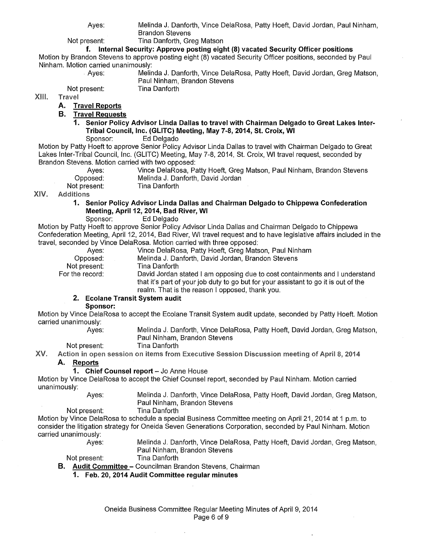Ayes: Melinda J. Danforth, Vince DelaRosa, Patty Hoeft, David Jordan, Paul Ninham,

Not present: Tina Danforth, Greg Matson

Brandon Stevens

#### **f. Internal Security: Approve posting eight (8) vacated Security Officer positions**

Motion by Brandon Stevens to approve posting eight (8) vacated Security Officer positions, seconded by Paul Ninham. Motion carried unanimously:<br>Aves: Melin

| Ayes:  | Melinda J. Danforth, Vince DelaRosa, Patty Hoeft, David Jordan, Greg Matson, |
|--------|------------------------------------------------------------------------------|
|        | Paul Ninham, Brandon Stevens                                                 |
| esent. | Tina Danforth.                                                               |

XIII. **Travel** 

#### **A. Travel Reports**

Not present:

**B. Travel Requests** 

# **1. Senior Policy Advisor Linda Dallas to travel with Chairman Delgado to Great Lakes Inter-Tribal Council, Inc. (GLITC) Meeting, May 7-8, 2014, St. Croix, WI**

#### Ed Delgado

Motion by Patty Hoeft to approve Senior Policy Advisor Linda Dallas to travel with Chairman Delgado to Great Lakes Inter-Tribal Council, Inc. (GLITC) Meeting, May 7-8, 2014, St. Croix, WI travel request, seconded by Brandon Stevens. Motion carried with two opposed:

| Aves:        | Vince DelaRosa, Patty Hoeft, Greg Matson, Paul Ninham, Brandon Stevens |  |
|--------------|------------------------------------------------------------------------|--|
| Opposed:     | Melinda J. Danforth, David Jordan                                      |  |
| Not present: | Tina Danforth                                                          |  |

XIV. Additions

#### **1. Senior Policy Advisor Linda Dallas and Chairman Delgado to Chippewa Confederation Meeting, April 12, 2014, Bad River, WI**

Sponsor: Ed Delgado

Motion by Patty Hoeft to approve Senior Policy Advisor Linda Dallas and Chairman Delgado to Chippewa Confederation Meeting, April 12, 2014, Bad River, WI travel request and to have legislative affairs included in the travel, seconded by Vince DelaRosa. Motion carried with three opposed:

| Aves:           | Vince DelaRosa, Patty Hoeft, Greg Matson, Paul Ninham                               |
|-----------------|-------------------------------------------------------------------------------------|
| Opposed:        | Melinda J. Danforth, David Jordan, Brandon Stevens                                  |
| Not present:    | Tina Danforth                                                                       |
| For the record: | David Jordan stated I am opposing due to cost containments and I understand         |
|                 | that it's part of your job duty to go but for your assistant to go it is out of the |

### realm. That is the reason I opposed, thank you.

### **2. Ecolane Transit System audit**

#### **Sponsor:**

Ayes:

Motion by Vince DelaRosa to accept the Ecolane Transit System audit update, seconded by Patty Hoeft. Motion carried unanimously:

Melinda J. Danforth, Vince DelaRosa, Patty Hoeft, David Jordan, Greg Matson, Paul Ninham, Brandon Stevens Tina Danforth

#### Not present:

XV. Action in open session on items from Executive Session Discussion meeting of April 8, 2014

#### **A. Reports**

#### **1. Chief Counsel report - Jo Anne House**

Motion by Vince DelaRosa to accept the Chief Counsel report, seconded by Paul Ninham. Motion carried unanimously:

Ayes: Melinda J. Danforth, Vince DelaRosa, Patty Hoeft, David Jordan, Greg Matson, Paul Ninham, Brandon Stevens

#### Not present: Tina Danforth

Motion by Vince DelaRosa to schedule a special Business Committee meeting on April21, 2014 at 1 p.m. to consider the litigation strategy for Oneida Seven Generations Corporation, seconded by Paul Ninham. Motion carried unanimously:

Ayes: Melinda J. Danforth, Vince DelaRosa, Patty Hoeft, David Jordan, Greg Matson, Paul Ninham, Brandon Stevens

Not present: Tina Danforth

**B. Audit Committee-** Councilman Brandon Stevens, Chairman

**1. Feb. 20, 2014 Audit Committee regular minutes**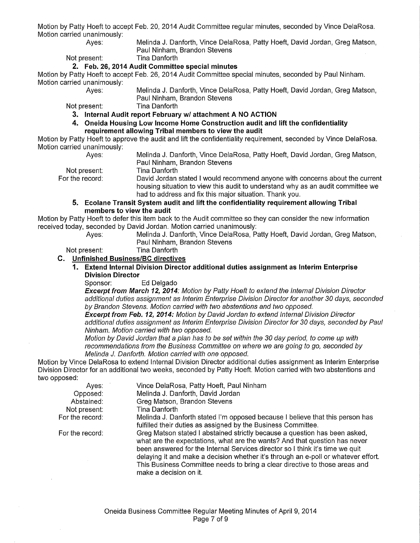Motion by Patty Hoeft to accept Feb. 20, 2014 Audit Committee regular minutes, seconded by Vince DelaRosa. Motion carried unanimously:

Ayes: Melinda J. Danforth, Vince DelaRosa, Patty Hoeft, David Jordan, Greg Matson, Paul Ninham, Brandon Stevens

Not present: Tina Danforth

#### **2. Feb. 26, 2014 Audit Committee special minutes**

Motion by Patty Hoeft to accept Feb. 26, 2014 Audit Committee special minutes, seconded by Paul Ninham. Motion carried unanimously:

Ayes: Melinda J. Danforth, Vince DelaRosa, Patty Hoeft, David Jordan, Greg Matson, Paul Ninham, Brandon Stevens

Not present: Tina Danforth

**3. Internal Audit report February w/ attachment A NO ACTION** 

**4. Oneida Housing Low Income Home Construction audit and lift the confidentiality requirement allowing Tribal members to view the audit** 

Motion by Patty Hoeft to approve the audit and lift the confidentiality requirement, seconded by Vince DelaRosa. Motion carried unanimously: Ayes:

Melinda J. Danforth, Vince DelaRosa, Patty Hoeft, David Jordan, Greg Matson, Paul Ninham, Brandon Stevens

Not present:

For the record:

Tina Danforth David Jordan stated I would recommend anyone with concerns about the current housing situation to view this audit to understand why as an audit committee we had to address and fix this major situation. Thank you.

#### **5. Ecolane Transit System audit and lift the confidentiality requirement allowing Tribal members to view the audit**

Motion by Patty Hoeft to defer this item back to the Audit committee so they can consider the new information received today, seconded by David Jordan. Motion carried unanimously:

Ayes: Melinda J. Danforth, Vince DelaRosa, Patty Hoeft, David Jordan, Greg Matson, Paul Ninham, Brandon Stevens

Not present: Tina Danforth

#### **C. Unfinished Business/BC directives**

#### **1. Extend Internal Division Director additional duties assignment as Interim Enterprise Division Director**

Sponsor: Ed Delgado

**Excerpt from March 12, 2014:** Motion by Patty Hoeft to extend the Internal Division Director additional duties assignment as Interim Enterprise Division Director for another 30 days, seconded by Brandon Stevens. Motion carried with two abstentions and two opposed.

**Excerpt from Feb. 12, 2014:** Motion by David Jordan to extend Internal Division Director additional duties assignment as Interim Enterprise Division Director for 30 days, seconded by Paul Ninham. Motion carried with two opposed.

Motion by David Jordan that a plan has to be set within the 30 day period, to come up with recommendations from the Business Committee on where we are going to go, seconded by Melinda *J.* Danforth. Motion carried with one opposed.

Motion by Vince DelaRosa to extend Internal Division Director additional duties assignment as Interim Enterprise Division Director for an additional two weeks, seconded by Patty Hoeft. Motion carried with two abstentions and two opposed:

| Ayes:           | Vince DelaRosa, Patty Hoeft, Paul Ninham                                                                                                                                                                                                                                                                                                                                                                                                 |
|-----------------|------------------------------------------------------------------------------------------------------------------------------------------------------------------------------------------------------------------------------------------------------------------------------------------------------------------------------------------------------------------------------------------------------------------------------------------|
| Opposed:        | Melinda J. Danforth, David Jordan                                                                                                                                                                                                                                                                                                                                                                                                        |
| Abstained:      | Greg Matson, Brandon Stevens                                                                                                                                                                                                                                                                                                                                                                                                             |
| Not present:    | Tina Danforth                                                                                                                                                                                                                                                                                                                                                                                                                            |
| For the record: | Melinda J. Danforth stated I'm opposed because I believe that this person has<br>fulfilled their duties as assigned by the Business Committee.                                                                                                                                                                                                                                                                                           |
| For the record: | Greg Matson stated I abstained strictly because a question has been asked,<br>what are the expectations, what are the wants? And that question has never<br>been answered for the Internal Services director so I think it's time we quit<br>delaying it and make a decision whether it's through an e-poll or whatever effort.<br>This Business Committee needs to bring a clear directive to those areas and<br>make a decision on it. |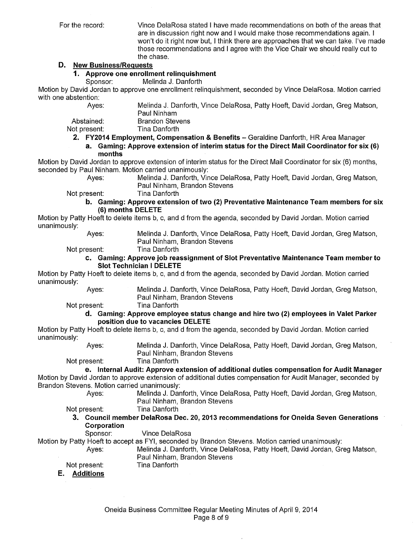For the record: Vince DelaRosa stated I have made recommendations on both of the areas that are in discussion right now and I would make those recommendations again. I won't do it right now but, I think there are approaches that we can take. I've made those recommendations and I agree with the Vice Chair we should really cut to the chase.

#### **D. New Business/Requests**

#### **1. Approve one enrollment relinquishment**

Sponsor: Melinda J. Danforth

Motion by David Jordan to approve one enrollment relinquishment, seconded by Vince DelaRosa. Motion carried with one abstention:

Ayes: Melinda J. Danforth, Vince DelaRosa, Patty Hoeft, David Jordan, Greg Matson, Paul Ninham

Abstained: Brandon Stevens

Not present: Tina Danforth

**2. FY2014 Employment, Compensation & Benefits-** Geraldine Danforth, HR Area Manager

**a. Gaming: Approve extension of interim status for the Direct Mail Coordinator for six (6) months** 

Motion by David Jordan to approve extension of interim status for the Direct Mail Coordinator for six (6) months, seconded by Paul Ninham. Motion carried unanimously:

Ayes: Melinda J. Danforth, Vince DelaRosa, Patty Hoeft, David Jordan, Greg Matson, Paul Ninham, Brandon Stevens

Not present: Tina Danforth

#### **b. Gaming: Approve extension of two (2) Preventative Maintenance Team members for six (6) months DELETE**

Motion by Patty Hoeft to delete items b, c, and d from the agenda, seconded by David Jordan. Motion carried unanimously:

| Ayes: | Melinda J. |  |
|-------|------------|--|
|       | Doul Ninho |  |

Danforth, Vince DelaRosa, Patty Hoeft, David Jordan, Greg Matson, Paul Ninham, Brandon Stevens

Not present: Tina Danforth

#### **c. Gaming: Approve job reassignment of Slot Preventative Maintenance Team member to Slot Technician I DELETE**

Motion by Patty Hoeft to delete items b, c, and d from the agenda, seconded by David Jordan. Motion carried unanimously:

> Ayes: Melinda J. Danforth, Vince DelaRosa, Patty Hoeft, David Jordan, Greg Matson, Paul Ninham, Brandon Stevens

Not present: Tina Danforth

#### **d. Gaming: Approve employee status change and hire two (2) employees in Valet Parker position due to vacancies DELETE**

Motion by Patty Hoeft to delete items b, c, and d from the agenda, seconded by David Jordan. Motion carried unanimously:

Ayes: Melinda J. Danforth, Vince DelaRosa, Patty Hoeft, David Jordan, Greg Matson, Paul Ninham, Brandon Stevens

Not present: Tina Danforth

## **e. Internal Audit: Approve extension of additional duties compensation for Audit Manager**

Motion by David Jordan to approve extension of additional duties compensation for Audit Manager, seconded by Brandon Stevens. Motion carried unanimously:

Ayes: Melinda J. Danforth, Vince DelaRosa, Patty Hoeft, David Jordan, Greg Matson, Paul Ninham, Brandon Stevens

Not present: Tina Danforth

**3. Council member DelaRosa Dec. 20, 2013 recommendations for Oneida Seven Generations Corporation** 

Sponsor: Vince DelaRosa

Motion by Patty Hoeft to accept as FYI, seconded by Brandon Stevens. Motion carried unanimously: Ayes: Melinda J. Danforth, Vince DelaRosa, Patty Hoeft, David Jordan, Greg Matson,

Paul Ninham, Brandon Stevens Tina Danforth

Not present:

**E. Additions**